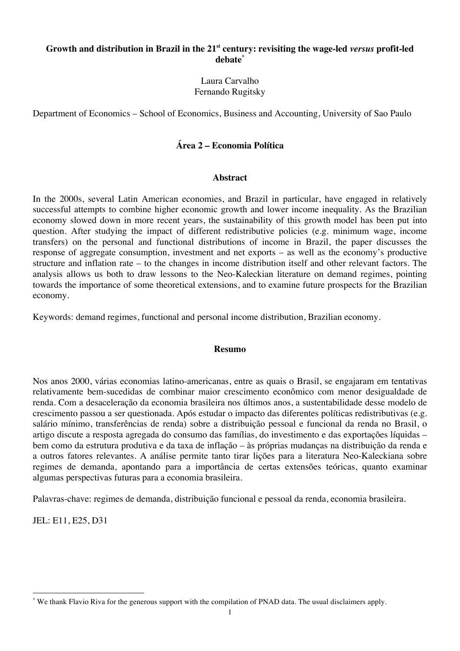# **Growth and distribution in Brazil in the 21st century: revisiting the wage-led** *versus* **profit-led debate\***

Laura Carvalho Fernando Rugitsky

Department of Economics – School of Economics, Business and Accounting, University of Sao Paulo

# **Área 2 – Economia Política**

# **Abstract**

In the 2000s, several Latin American economies, and Brazil in particular, have engaged in relatively successful attempts to combine higher economic growth and lower income inequality. As the Brazilian economy slowed down in more recent years, the sustainability of this growth model has been put into question. After studying the impact of different redistributive policies (e.g. minimum wage, income transfers) on the personal and functional distributions of income in Brazil, the paper discusses the response of aggregate consumption, investment and net exports – as well as the economy's productive structure and inflation rate – to the changes in income distribution itself and other relevant factors. The analysis allows us both to draw lessons to the Neo-Kaleckian literature on demand regimes, pointing towards the importance of some theoretical extensions, and to examine future prospects for the Brazilian economy.

Keywords: demand regimes, functional and personal income distribution, Brazilian economy.

### **Resumo**

Nos anos 2000, várias economias latino-americanas, entre as quais o Brasil, se engajaram em tentativas relativamente bem-sucedidas de combinar maior crescimento econômico com menor desigualdade de renda. Com a desaceleração da economia brasileira nos últimos anos, a sustentabilidade desse modelo de crescimento passou a ser questionada. Após estudar o impacto das diferentes políticas redistributivas (e.g. salário mínimo, transferências de renda) sobre a distribuição pessoal e funcional da renda no Brasil, o artigo discute a resposta agregada do consumo das famílias, do investimento e das exportações líquidas – bem como da estrutura produtiva e da taxa de inflação – às próprias mudanças na distribuição da renda e a outros fatores relevantes. A análise permite tanto tirar lições para a literatura Neo-Kaleckiana sobre regimes de demanda, apontando para a importância de certas extensões teóricas, quanto examinar algumas perspectivas futuras para a economia brasileira.

Palavras-chave: regimes de demanda, distribuição funcional e pessoal da renda, economia brasileira.

JEL: E11, E25, D31

<sup>\*</sup> We thank Flavio Riva for the generous support with the compilation of PNAD data. The usual disclaimers apply.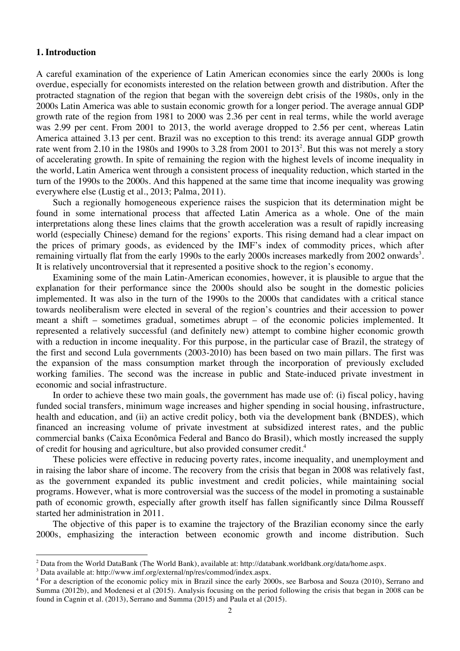# **1. Introduction**

A careful examination of the experience of Latin American economies since the early 2000s is long overdue, especially for economists interested on the relation between growth and distribution. After the protracted stagnation of the region that began with the sovereign debt crisis of the 1980s, only in the 2000s Latin America was able to sustain economic growth for a longer period. The average annual GDP growth rate of the region from 1981 to 2000 was 2.36 per cent in real terms, while the world average was 2.99 per cent. From 2001 to 2013, the world average dropped to 2.56 per cent, whereas Latin America attained 3.13 per cent. Brazil was no exception to this trend: its average annual GDP growth rate went from 2.10 in the 1980s and 1990s to 3.28 from 2001 to  $2013^2$ . But this was not merely a story of accelerating growth. In spite of remaining the region with the highest levels of income inequality in the world, Latin America went through a consistent process of inequality reduction, which started in the turn of the 1990s to the 2000s. And this happened at the same time that income inequality was growing everywhere else (Lustig et al., 2013; Palma, 2011).

Such a regionally homogeneous experience raises the suspicion that its determination might be found in some international process that affected Latin America as a whole. One of the main interpretations along these lines claims that the growth acceleration was a result of rapidly increasing world (especially Chinese) demand for the regions' exports. This rising demand had a clear impact on the prices of primary goods, as evidenced by the IMF's index of commodity prices, which after remaining virtually flat from the early 1990s to the early 2000s increases markedly from 2002 onwards<sup>3</sup>. It is relatively uncontroversial that it represented a positive shock to the region's economy.

Examining some of the main Latin-American economies, however, it is plausible to argue that the explanation for their performance since the 2000s should also be sought in the domestic policies implemented. It was also in the turn of the 1990s to the 2000s that candidates with a critical stance towards neoliberalism were elected in several of the region's countries and their accession to power meant a shift – sometimes gradual, sometimes abrupt – of the economic policies implemented. It represented a relatively successful (and definitely new) attempt to combine higher economic growth with a reduction in income inequality. For this purpose, in the particular case of Brazil, the strategy of the first and second Lula governments (2003-2010) has been based on two main pillars. The first was the expansion of the mass consumption market through the incorporation of previously excluded working families. The second was the increase in public and State-induced private investment in economic and social infrastructure.

In order to achieve these two main goals, the government has made use of: (i) fiscal policy, having funded social transfers, minimum wage increases and higher spending in social housing, infrastructure, health and education, and (ii) an active credit policy, both via the development bank (BNDES), which financed an increasing volume of private investment at subsidized interest rates, and the public commercial banks (Caixa Econômica Federal and Banco do Brasil), which mostly increased the supply of credit for housing and agriculture, but also provided consumer credit.4

These policies were effective in reducing poverty rates, income inequality, and unemployment and in raising the labor share of income. The recovery from the crisis that began in 2008 was relatively fast, as the government expanded its public investment and credit policies, while maintaining social programs. However, what is more controversial was the success of the model in promoting a sustainable path of economic growth, especially after growth itself has fallen significantly since Dilma Rousseff started her administration in 2011.

The objective of this paper is to examine the trajectory of the Brazilian economy since the early 2000s, emphasizing the interaction between economic growth and income distribution. Such

<sup>&</sup>lt;sup>2</sup> Data from the World DataBank (The World Bank), available at: http://databank.worldbank.org/data/home.aspx.

<sup>3</sup> Data available at: http://www.imf.org/external/np/res/commod/index.aspx.

<sup>4</sup> For a description of the economic policy mix in Brazil since the early 2000s, see Barbosa and Souza (2010), Serrano and Summa (2012b), and Modenesi et al (2015). Analysis focusing on the period following the crisis that began in 2008 can be found in Cagnin et al. (2013), Serrano and Summa (2015) and Paula et al (2015).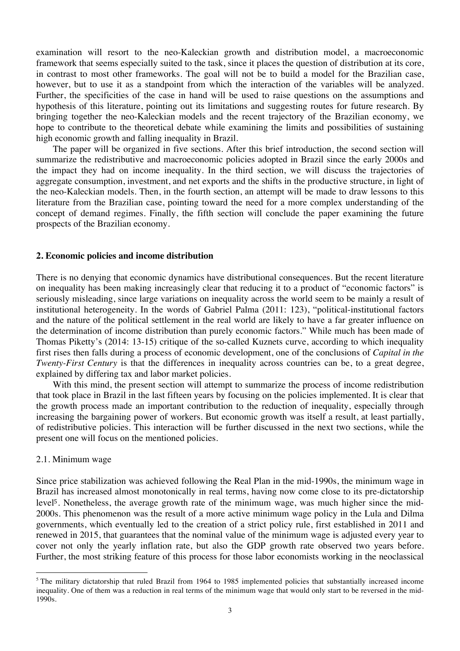examination will resort to the neo-Kaleckian growth and distribution model, a macroeconomic framework that seems especially suited to the task, since it places the question of distribution at its core, in contrast to most other frameworks. The goal will not be to build a model for the Brazilian case, however, but to use it as a standpoint from which the interaction of the variables will be analyzed. Further, the specificities of the case in hand will be used to raise questions on the assumptions and hypothesis of this literature, pointing out its limitations and suggesting routes for future research. By bringing together the neo-Kaleckian models and the recent trajectory of the Brazilian economy, we hope to contribute to the theoretical debate while examining the limits and possibilities of sustaining high economic growth and falling inequality in Brazil.

The paper will be organized in five sections. After this brief introduction, the second section will summarize the redistributive and macroeconomic policies adopted in Brazil since the early 2000s and the impact they had on income inequality. In the third section, we will discuss the trajectories of aggregate consumption, investment, and net exports and the shifts in the productive structure, in light of the neo-Kaleckian models. Then, in the fourth section, an attempt will be made to draw lessons to this literature from the Brazilian case, pointing toward the need for a more complex understanding of the concept of demand regimes. Finally, the fifth section will conclude the paper examining the future prospects of the Brazilian economy.

#### **2. Economic policies and income distribution**

There is no denying that economic dynamics have distributional consequences. But the recent literature on inequality has been making increasingly clear that reducing it to a product of "economic factors" is seriously misleading, since large variations on inequality across the world seem to be mainly a result of institutional heterogeneity. In the words of Gabriel Palma (2011: 123), "political-institutional factors and the nature of the political settlement in the real world are likely to have a far greater influence on the determination of income distribution than purely economic factors." While much has been made of Thomas Piketty's (2014: 13-15) critique of the so-called Kuznets curve, according to which inequality first rises then falls during a process of economic development, one of the conclusions of *Capital in the Twenty-First Century* is that the differences in inequality across countries can be, to a great degree, explained by differing tax and labor market policies.

With this mind, the present section will attempt to summarize the process of income redistribution that took place in Brazil in the last fifteen years by focusing on the policies implemented. It is clear that the growth process made an important contribution to the reduction of inequality, especially through increasing the bargaining power of workers. But economic growth was itself a result, at least partially, of redistributive policies. This interaction will be further discussed in the next two sections, while the present one will focus on the mentioned policies.

#### 2.1. Minimum wage

 

Since price stabilization was achieved following the Real Plan in the mid-1990s, the minimum wage in Brazil has increased almost monotonically in real terms, having now come close to its pre-dictatorship level<sup>5</sup>. Nonetheless, the average growth rate of the minimum wage, was much higher since the mid-2000s. This phenomenon was the result of a more active minimum wage policy in the Lula and Dilma governments, which eventually led to the creation of a strict policy rule, first established in 2011 and renewed in 2015, that guarantees that the nominal value of the minimum wage is adjusted every year to cover not only the yearly inflation rate, but also the GDP growth rate observed two years before. Further, the most striking feature of this process for those labor economists working in the neoclassical

 $<sup>5</sup>$  The military dictatorship that ruled Brazil from 1964 to 1985 implemented policies that substantially increased income</sup> inequality. One of them was a reduction in real terms of the minimum wage that would only start to be reversed in the mid-1990s.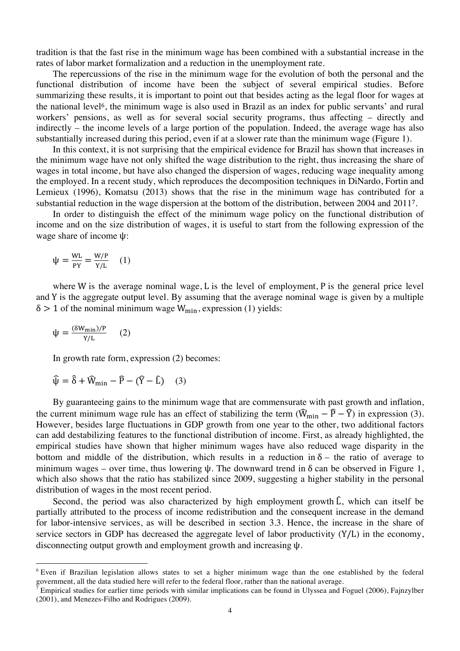tradition is that the fast rise in the minimum wage has been combined with a substantial increase in the rates of labor market formalization and a reduction in the unemployment rate.

The repercussions of the rise in the minimum wage for the evolution of both the personal and the functional distribution of income have been the subject of several empirical studies. Before summarizing these results, it is important to point out that besides acting as the legal floor for wages at the national level<sup>6</sup>, the minimum wage is also used in Brazil as an index for public servants' and rural workers' pensions, as well as for several social security programs, thus affecting – directly and indirectly – the income levels of a large portion of the population. Indeed, the average wage has also substantially increased during this period, even if at a slower rate than the minimum wage (Figure 1).

In this context, it is not surprising that the empirical evidence for Brazil has shown that increases in the minimum wage have not only shifted the wage distribution to the right, thus increasing the share of wages in total income, but have also changed the dispersion of wages, reducing wage inequality among the employed. In a recent study, which reproduces the decomposition techniques in DiNardo, Fortin and Lemieux (1996), Komatsu (2013) shows that the rise in the minimum wage has contributed for a substantial reduction in the wage dispersion at the bottom of the distribution, between 2004 and 2011<sup>7</sup>.

In order to distinguish the effect of the minimum wage policy on the functional distribution of income and on the size distribution of wages, it is useful to start from the following expression of the wage share of income ψ:

$$
\psi = \frac{WL}{PY} = \frac{W/P}{Y/L} \quad (1)
$$

where W is the average nominal wage, L is the level of employment, P is the general price level and Y is the aggregate output level. By assuming that the average nominal wage is given by a multiple  $\delta > 1$  of the nominal minimum wage  $W_{\text{min}}$ , expression (1) yields:

$$
\psi = \frac{(\delta W_{\text{min}})/P}{Y/L} \qquad (2)
$$

 

In growth rate form, expression (2) becomes:

$$
\widehat{\psi} = \widehat{\delta} + \widehat{W}_{\min} - \widehat{P} - (\widehat{Y} - \widehat{L}) \quad (3)
$$

By guaranteeing gains to the minimum wage that are commensurate with past growth and inflation, the current minimum wage rule has an effect of stabilizing the term  $(\widehat{W}_{min} - \widehat{P} - \widehat{Y})$  in expression (3). However, besides large fluctuations in GDP growth from one year to the other, two additional factors can add destabilizing features to the functional distribution of income. First, as already highlighted, the empirical studies have shown that higher minimum wages have also reduced wage disparity in the bottom and middle of the distribution, which results in a reduction in  $\delta$  – the ratio of average to minimum wages – over time, thus lowering  $\psi$ . The downward trend in  $\delta$  can be observed in Figure 1, which also shows that the ratio has stabilized since 2009, suggesting a higher stability in the personal distribution of wages in the most recent period.

Second, the period was also characterized by high employment growth  $\hat{L}$ , which can itself be partially attributed to the process of income redistribution and the consequent increase in the demand for labor-intensive services, as will be described in section 3.3. Hence, the increase in the share of service sectors in GDP has decreased the aggregate level of labor productivity  $(Y/L)$  in the economy, disconnecting output growth and employment growth and increasing ψ.

<sup>6</sup> Even if Brazilian legislation allows states to set a higher minimum wage than the one established by the federal government, all the data studied here will refer to the federal floor, rather than the national average.

<sup>7</sup> Empirical studies for earlier time periods with similar implications can be found in Ulyssea and Foguel (2006), Fajnzylber (2001), and Menezes-Filho and Rodrigues (2009).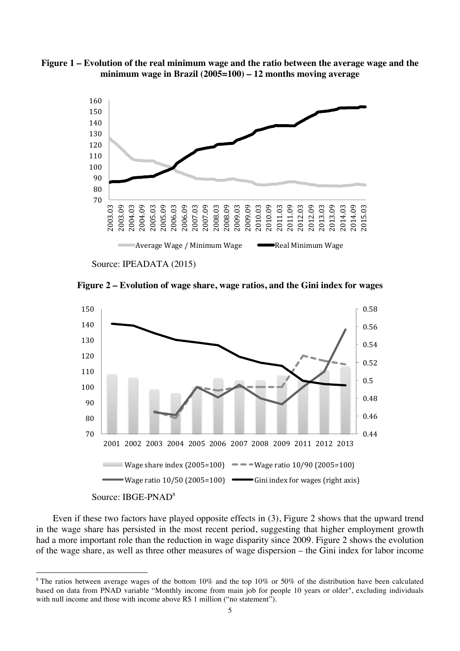



Source: IPEADATA (2015)

 

**Figure 2 – Evolution of wage share, wage ratios, and the Gini index for wages**



Even if these two factors have played opposite effects in (3), Figure 2 shows that the upward trend in the wage share has persisted in the most recent period, suggesting that higher employment growth had a more important role than the reduction in wage disparity since 2009. Figure 2 shows the evolution of the wage share, as well as three other measures of wage dispersion – the Gini index for labor income

<sup>&</sup>lt;sup>8</sup> The ratios between average wages of the bottom 10% and the top 10% or 50% of the distribution have been calculated based on data from PNAD variable "Monthly income from main job for people 10 years or older", excluding individuals with null income and those with income above R\$ 1 million ("no statement").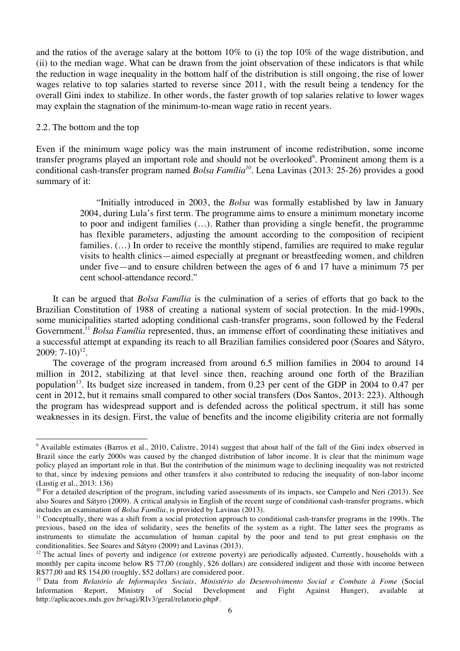and the ratios of the average salary at the bottom 10% to (i) the top 10% of the wage distribution, and (ii) to the median wage. What can be drawn from the joint observation of these indicators is that while the reduction in wage inequality in the bottom half of the distribution is still ongoing, the rise of lower wages relative to top salaries started to reverse since 2011, with the result being a tendency for the overall Gini index to stabilize. In other words, the faster growth of top salaries relative to lower wages may explain the stagnation of the minimum-to-mean wage ratio in recent years.

#### 2.2. The bottom and the top

 

Even if the minimum wage policy was the main instrument of income redistribution, some income transfer programs played an important role and should not be overlooked<sup>9</sup>. Prominent among them is a conditional cash-transfer program named *Bolsa Família<sup>10</sup>*. Lena Lavinas (2013: 25-26) provides a good summary of it:

> "Initially introduced in 2003, the *Bolsa* was formally established by law in January 2004, during Lula's first term. The programme aims to ensure a minimum monetary income to poor and indigent families (…). Rather than providing a single benefit, the programme has flexible parameters, adjusting the amount according to the composition of recipient families.  $(...)$  In order to receive the monthly stipend, families are required to make regular visits to health clinics—aimed especially at pregnant or breastfeeding women, and children under five—and to ensure children between the ages of 6 and 17 have a minimum 75 per cent school-attendance record."

It can be argued that *Bolsa Família* is the culmination of a series of efforts that go back to the Brazilian Constitution of 1988 of creating a national system of social protection. In the mid-1990s, some municipalities started adopting conditional cash-transfer programs, soon followed by the Federal Government.<sup>11</sup> *Bolsa Família* represented, thus, an immense effort of coordinating these initiatives and a successful attempt at expanding its reach to all Brazilian families considered poor (Soares and Sátyro,  $2009: 7-10$ <sup>12</sup>.

The coverage of the program increased from around 6.5 million families in 2004 to around 14 million in 2012, stabilizing at that level since then, reaching around one forth of the Brazilian population<sup>13</sup>. Its budget size increased in tandem, from 0.23 per cent of the GDP in 2004 to 0.47 per cent in 2012, but it remains small compared to other social transfers (Dos Santos, 2013: 223). Although the program has widespread support and is defended across the political spectrum, it still has some weaknesses in its design. First, the value of benefits and the income eligibility criteria are not formally

<sup>&</sup>lt;sup>9</sup> Available estimates (Barros et al., 2010, Calixtre, 2014) suggest that about half of the fall of the Gini index observed in Brazil since the early 2000s was caused by the changed distribution of labor income. It is clear that the minimum wage policy played an important role in that. But the contribution of the minimum wage to declining inequality was not restricted to that, since by indexing pensions and other transfers it also contributed to reducing the inequality of non-labor income (Lustig et al., 2013: 136)

 $10$  For a detailed description of the program, including varied assessments of its impacts, see Campelo and Neri (2013). See also Soares and Sátyro (2009). A critical analysis in English of the recent surge of conditional cash-transfer programs, which includes an examination of *Bolsa Família*, is provided by Lavinas (2013).

 $<sup>11</sup>$  Conceptually, there was a shift from a social protection approach to conditional cash-transfer programs in the 1990s. The</sup> previous, based on the idea of solidarity, sees the benefits of the system as a right. The latter sees the programs as instruments to stimulate the accumulation of human capital by the poor and tend to put great emphasis on the conditionalities. See Soares and Sátyro (2009) and Lavinas (2013).

 $12$  The actual lines of poverty and indigence (or extreme poverty) are periodically adjusted. Currently, households with a monthly per capita income below R\$ 77,00 (roughly, \$26 dollars) are considered indigent and those with income between R\$77,00 and R\$ 154,00 (roughly, \$52 dollars) are considered poor.

<sup>13</sup> Data from *Relatório de Informações Sociais*, *Ministério do Desenvolvimento Social e Combate à Fome* (Social Information Report, Ministry of Social Development and Fight Against Hunger), available at http://aplicacoes.mds.gov.br/sagi/RIv3/geral/relatorio.php#.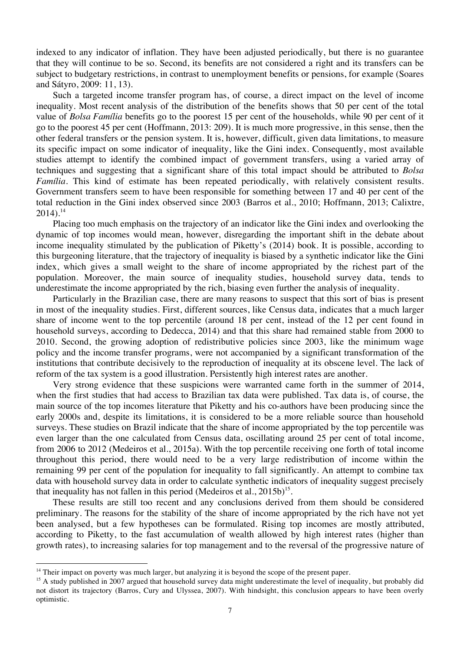indexed to any indicator of inflation. They have been adjusted periodically, but there is no guarantee that they will continue to be so. Second, its benefits are not considered a right and its transfers can be subject to budgetary restrictions, in contrast to unemployment benefits or pensions, for example (Soares and Sátyro, 2009: 11, 13).

Such a targeted income transfer program has, of course, a direct impact on the level of income inequality. Most recent analysis of the distribution of the benefits shows that 50 per cent of the total value of *Bolsa Família* benefits go to the poorest 15 per cent of the households, while 90 per cent of it go to the poorest 45 per cent (Hoffmann, 2013: 209). It is much more progressive, in this sense, then the other federal transfers or the pension system. It is, however, difficult, given data limitations, to measure its specific impact on some indicator of inequality, like the Gini index. Consequently, most available studies attempt to identify the combined impact of government transfers, using a varied array of techniques and suggesting that a significant share of this total impact should be attributed to *Bolsa Família*. This kind of estimate has been repeated periodically, with relatively consistent results. Government transfers seem to have been responsible for something between 17 and 40 per cent of the total reduction in the Gini index observed since 2003 (Barros et al., 2010; Hoffmann, 2013; Calixtre,  $2014$ ).<sup>14</sup>

Placing too much emphasis on the trajectory of an indicator like the Gini index and overlooking the dynamic of top incomes would mean, however, disregarding the important shift in the debate about income inequality stimulated by the publication of Piketty's (2014) book. It is possible, according to this burgeoning literature, that the trajectory of inequality is biased by a synthetic indicator like the Gini index, which gives a small weight to the share of income appropriated by the richest part of the population. Moreover, the main source of inequality studies, household survey data, tends to underestimate the income appropriated by the rich, biasing even further the analysis of inequality.

Particularly in the Brazilian case, there are many reasons to suspect that this sort of bias is present in most of the inequality studies. First, different sources, like Census data, indicates that a much larger share of income went to the top percentile (around 18 per cent, instead of the 12 per cent found in household surveys, according to Dedecca, 2014) and that this share had remained stable from 2000 to 2010. Second, the growing adoption of redistributive policies since 2003, like the minimum wage policy and the income transfer programs, were not accompanied by a significant transformation of the institutions that contribute decisively to the reproduction of inequality at its obscene level. The lack of reform of the tax system is a good illustration. Persistently high interest rates are another.

Very strong evidence that these suspicions were warranted came forth in the summer of 2014, when the first studies that had access to Brazilian tax data were published. Tax data is, of course, the main source of the top incomes literature that Piketty and his co-authors have been producing since the early 2000s and, despite its limitations, it is considered to be a more reliable source than household surveys. These studies on Brazil indicate that the share of income appropriated by the top percentile was even larger than the one calculated from Census data, oscillating around 25 per cent of total income, from 2006 to 2012 (Medeiros et al., 2015a). With the top percentile receiving one forth of total income throughout this period, there would need to be a very large redistribution of income within the remaining 99 per cent of the population for inequality to fall significantly. An attempt to combine tax data with household survey data in order to calculate synthetic indicators of inequality suggest precisely that inequality has not fallen in this period (Medeiros et al.,  $2015b$ )<sup>15</sup>.

These results are still too recent and any conclusions derived from them should be considered preliminary. The reasons for the stability of the share of income appropriated by the rich have not yet been analysed, but a few hypotheses can be formulated. Rising top incomes are mostly attributed, according to Piketty, to the fast accumulation of wealth allowed by high interest rates (higher than growth rates), to increasing salaries for top management and to the reversal of the progressive nature of

<sup>&</sup>lt;sup>14</sup> Their impact on poverty was much larger, but analyzing it is beyond the scope of the present paper.

<sup>&</sup>lt;sup>15</sup> A study published in 2007 argued that household survey data might underestimate the level of inequality, but probably did not distort its trajectory (Barros, Cury and Ulyssea, 2007). With hindsight, this conclusion appears to have been overly optimistic.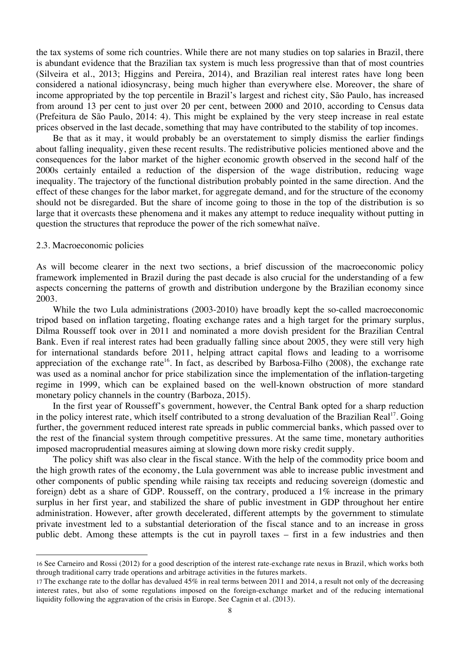the tax systems of some rich countries. While there are not many studies on top salaries in Brazil, there is abundant evidence that the Brazilian tax system is much less progressive than that of most countries (Silveira et al., 2013; Higgins and Pereira, 2014), and Brazilian real interest rates have long been considered a national idiosyncrasy, being much higher than everywhere else. Moreover, the share of income appropriated by the top percentile in Brazil's largest and richest city, São Paulo, has increased from around 13 per cent to just over 20 per cent, between 2000 and 2010, according to Census data (Prefeitura de São Paulo, 2014: 4). This might be explained by the very steep increase in real estate prices observed in the last decade, something that may have contributed to the stability of top incomes.

Be that as it may, it would probably be an overstatement to simply dismiss the earlier findings about falling inequality, given these recent results. The redistributive policies mentioned above and the consequences for the labor market of the higher economic growth observed in the second half of the 2000s certainly entailed a reduction of the dispersion of the wage distribution, reducing wage inequality. The trajectory of the functional distribution probably pointed in the same direction. And the effect of these changes for the labor market, for aggregate demand, and for the structure of the economy should not be disregarded. But the share of income going to those in the top of the distribution is so large that it overcasts these phenomena and it makes any attempt to reduce inequality without putting in question the structures that reproduce the power of the rich somewhat naïve.

### 2.3. Macroeconomic policies

 

As will become clearer in the next two sections, a brief discussion of the macroeconomic policy framework implemented in Brazil during the past decade is also crucial for the understanding of a few aspects concerning the patterns of growth and distribution undergone by the Brazilian economy since 2003.

While the two Lula administrations (2003-2010) have broadly kept the so-called macroeconomic tripod based on inflation targeting, floating exchange rates and a high target for the primary surplus, Dilma Rousseff took over in 2011 and nominated a more dovish president for the Brazilian Central Bank. Even if real interest rates had been gradually falling since about 2005, they were still very high for international standards before 2011, helping attract capital flows and leading to a worrisome appreciation of the exchange rate<sup>16</sup>. In fact, as described by Barbosa-Filho  $(2008)$ , the exchange rate was used as a nominal anchor for price stabilization since the implementation of the inflation-targeting regime in 1999, which can be explained based on the well-known obstruction of more standard monetary policy channels in the country (Barboza, 2015).

In the first year of Rousseff's government, however, the Central Bank opted for a sharp reduction in the policy interest rate, which itself contributed to a strong devaluation of the Brazilian Real<sup>17</sup>. Going further, the government reduced interest rate spreads in public commercial banks, which passed over to the rest of the financial system through competitive pressures. At the same time, monetary authorities imposed macroprudential measures aiming at slowing down more risky credit supply.

The policy shift was also clear in the fiscal stance. With the help of the commodity price boom and the high growth rates of the economy, the Lula government was able to increase public investment and other components of public spending while raising tax receipts and reducing sovereign (domestic and foreign) debt as a share of GDP. Rousseff, on the contrary, produced a 1% increase in the primary surplus in her first year, and stabilized the share of public investment in GDP throughout her entire administration. However, after growth decelerated, different attempts by the government to stimulate private investment led to a substantial deterioration of the fiscal stance and to an increase in gross public debt. Among these attempts is the cut in payroll taxes – first in a few industries and then

<sup>16</sup> See Carneiro and Rossi (2012) for a good description of the interest rate-exchange rate nexus in Brazil, which works both through traditional carry trade operations and arbitrage activities in the futures markets.

<sup>17</sup> The exchange rate to the dollar has devalued 45% in real terms between 2011 and 2014, a result not only of the decreasing interest rates, but also of some regulations imposed on the foreign-exchange market and of the reducing international liquidity following the aggravation of the crisis in Europe. See Cagnin et al. (2013).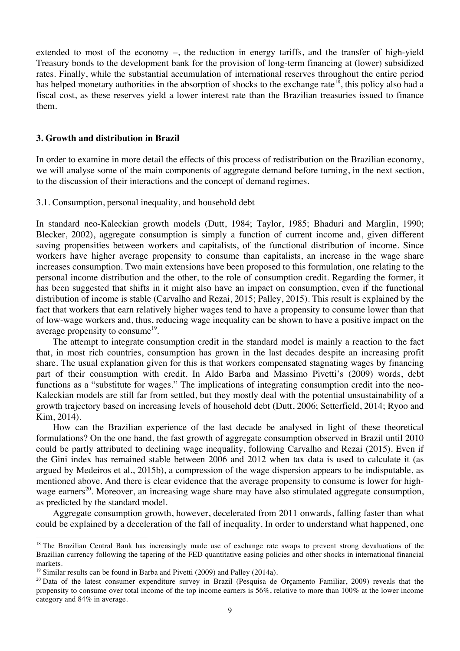extended to most of the economy –, the reduction in energy tariffs, and the transfer of high-yield Treasury bonds to the development bank for the provision of long-term financing at (lower) subsidized rates. Finally, while the substantial accumulation of international reserves throughout the entire period has helped monetary authorities in the absorption of shocks to the exchange rate<sup>18</sup>, this policy also had a fiscal cost, as these reserves yield a lower interest rate than the Brazilian treasuries issued to finance them.

## **3. Growth and distribution in Brazil**

In order to examine in more detail the effects of this process of redistribution on the Brazilian economy, we will analyse some of the main components of aggregate demand before turning, in the next section, to the discussion of their interactions and the concept of demand regimes.

3.1. Consumption, personal inequality, and household debt

In standard neo-Kaleckian growth models (Dutt, 1984; Taylor, 1985; Bhaduri and Marglin, 1990; Blecker, 2002), aggregate consumption is simply a function of current income and, given different saving propensities between workers and capitalists, of the functional distribution of income. Since workers have higher average propensity to consume than capitalists, an increase in the wage share increases consumption. Two main extensions have been proposed to this formulation, one relating to the personal income distribution and the other, to the role of consumption credit. Regarding the former, it has been suggested that shifts in it might also have an impact on consumption, even if the functional distribution of income is stable (Carvalho and Rezai, 2015; Palley, 2015). This result is explained by the fact that workers that earn relatively higher wages tend to have a propensity to consume lower than that of low-wage workers and, thus, reducing wage inequality can be shown to have a positive impact on the average propensity to consume<sup>19</sup>.

The attempt to integrate consumption credit in the standard model is mainly a reaction to the fact that, in most rich countries, consumption has grown in the last decades despite an increasing profit share. The usual explanation given for this is that workers compensated stagnating wages by financing part of their consumption with credit. In Aldo Barba and Massimo Pivetti's (2009) words, debt functions as a "substitute for wages." The implications of integrating consumption credit into the neo-Kaleckian models are still far from settled, but they mostly deal with the potential unsustainability of a growth trajectory based on increasing levels of household debt (Dutt, 2006; Setterfield, 2014; Ryoo and Kim, 2014).

How can the Brazilian experience of the last decade be analysed in light of these theoretical formulations? On the one hand, the fast growth of aggregate consumption observed in Brazil until 2010 could be partly attributed to declining wage inequality, following Carvalho and Rezai (2015). Even if the Gini index has remained stable between 2006 and 2012 when tax data is used to calculate it (as argued by Medeiros et al., 2015b), a compression of the wage dispersion appears to be indisputable, as mentioned above. And there is clear evidence that the average propensity to consume is lower for highwage earners<sup>20</sup>. Moreover, an increasing wage share may have also stimulated aggregate consumption, as predicted by the standard model.

Aggregate consumption growth, however, decelerated from 2011 onwards, falling faster than what could be explained by a deceleration of the fall of inequality. In order to understand what happened, one

 $18$  The Brazilian Central Bank has increasingly made use of exchange rate swaps to prevent strong devaluations of the Brazilian currency following the tapering of the FED quantitative easing policies and other shocks in international financial markets.

<sup>&</sup>lt;sup>19</sup> Similar results can be found in Barba and Pivetti (2009) and Palley (2014a).

 $20$  Data of the latest consumer expenditure survey in Brazil (Pesquisa de Orcamento Familiar, 2009) reveals that the propensity to consume over total income of the top income earners is 56%, relative to more than 100% at the lower income category and 84% in average.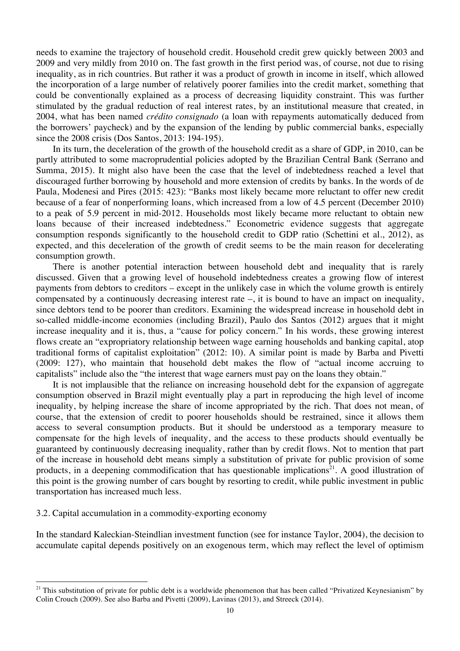needs to examine the trajectory of household credit. Household credit grew quickly between 2003 and 2009 and very mildly from 2010 on. The fast growth in the first period was, of course, not due to rising inequality, as in rich countries. But rather it was a product of growth in income in itself, which allowed the incorporation of a large number of relatively poorer families into the credit market, something that could be conventionally explained as a process of decreasing liquidity constraint. This was further stimulated by the gradual reduction of real interest rates, by an institutional measure that created, in 2004, what has been named *crédito consignado* (a loan with repayments automatically deduced from the borrowers' paycheck) and by the expansion of the lending by public commercial banks, especially since the 2008 crisis (Dos Santos, 2013: 194-195).

In its turn, the deceleration of the growth of the household credit as a share of GDP, in 2010, can be partly attributed to some macroprudential policies adopted by the Brazilian Central Bank (Serrano and Summa, 2015). It might also have been the case that the level of indebtedness reached a level that discouraged further borrowing by household and more extension of credits by banks. In the words of de Paula, Modenesi and Pires (2015: 423): "Banks most likely became more reluctant to offer new credit because of a fear of nonperforming loans, which increased from a low of 4.5 percent (December 2010) to a peak of 5.9 percent in mid-2012. Households most likely became more reluctant to obtain new loans because of their increased indebtedness." Econometric evidence suggests that aggregate consumption responds significantly to the household credit to GDP ratio (Schettini et al., 2012), as expected, and this deceleration of the growth of credit seems to be the main reason for decelerating consumption growth.

There is another potential interaction between household debt and inequality that is rarely discussed. Given that a growing level of household indebtedness creates a growing flow of interest payments from debtors to creditors – except in the unlikely case in which the volume growth is entirely compensated by a continuously decreasing interest rate –, it is bound to have an impact on inequality, since debtors tend to be poorer than creditors. Examining the widespread increase in household debt in so-called middle-income economies (including Brazil), Paulo dos Santos (2012) argues that it might increase inequality and it is, thus, a "cause for policy concern." In his words, these growing interest flows create an "expropriatory relationship between wage earning households and banking capital, atop traditional forms of capitalist exploitation" (2012: 10). A similar point is made by Barba and Pivetti (2009: 127), who maintain that household debt makes the flow of "actual income accruing to capitalists" include also the "the interest that wage earners must pay on the loans they obtain."

It is not implausible that the reliance on increasing household debt for the expansion of aggregate consumption observed in Brazil might eventually play a part in reproducing the high level of income inequality, by helping increase the share of income appropriated by the rich. That does not mean, of course, that the extension of credit to poorer households should be restrained, since it allows them access to several consumption products. But it should be understood as a temporary measure to compensate for the high levels of inequality, and the access to these products should eventually be guaranteed by continuously decreasing inequality, rather than by credit flows. Not to mention that part of the increase in household debt means simply a substitution of private for public provision of some products, in a deepening commodification that has questionable implications<sup>21</sup>. A good illustration of this point is the growing number of cars bought by resorting to credit, while public investment in public transportation has increased much less.

# 3.2. Capital accumulation in a commodity-exporting economy

 

In the standard Kaleckian-Steindlian investment function (see for instance Taylor, 2004), the decision to accumulate capital depends positively on an exogenous term, which may reflect the level of optimism

 $21$  This substitution of private for public debt is a worldwide phenomenon that has been called "Privatized Keynesianism" by Colin Crouch (2009). See also Barba and Pivetti (2009), Lavinas (2013), and Streeck (2014).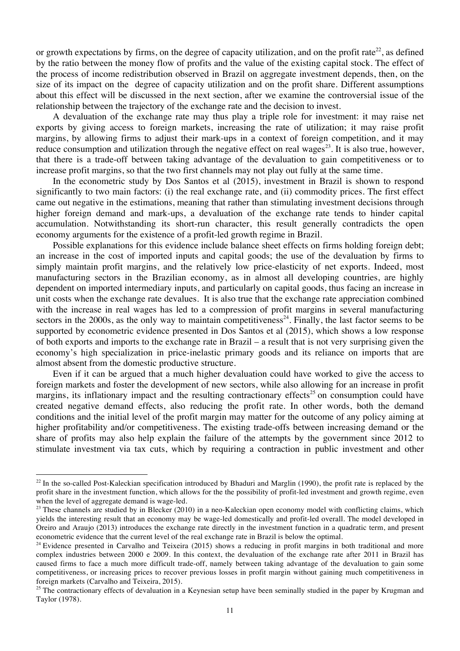or growth expectations by firms, on the degree of capacity utilization, and on the profit rate<sup>22</sup>, as defined by the ratio between the money flow of profits and the value of the existing capital stock. The effect of the process of income redistribution observed in Brazil on aggregate investment depends, then, on the size of its impact on the degree of capacity utilization and on the profit share. Different assumptions about this effect will be discussed in the next section, after we examine the controversial issue of the relationship between the trajectory of the exchange rate and the decision to invest.

A devaluation of the exchange rate may thus play a triple role for investment: it may raise net exports by giving access to foreign markets, increasing the rate of utilization; it may raise profit margins, by allowing firms to adjust their mark-ups in a context of foreign competition, and it may reduce consumption and utilization through the negative effect on real wages<sup>23</sup>. It is also true, however, that there is a trade-off between taking advantage of the devaluation to gain competitiveness or to increase profit margins, so that the two first channels may not play out fully at the same time.

In the econometric study by Dos Santos et al (2015), investment in Brazil is shown to respond significantly to two main factors: (i) the real exchange rate, and (ii) commodity prices. The first effect came out negative in the estimations, meaning that rather than stimulating investment decisions through higher foreign demand and mark-ups, a devaluation of the exchange rate tends to hinder capital accumulation. Notwithstanding its short-run character, this result generally contradicts the open economy arguments for the existence of a profit-led growth regime in Brazil.

Possible explanations for this evidence include balance sheet effects on firms holding foreign debt; an increase in the cost of imported inputs and capital goods; the use of the devaluation by firms to simply maintain profit margins, and the relatively low price-elasticity of net exports. Indeed, most manufacturing sectors in the Brazilian economy, as in almost all developing countries, are highly dependent on imported intermediary inputs, and particularly on capital goods, thus facing an increase in unit costs when the exchange rate devalues. It is also true that the exchange rate appreciation combined with the increase in real wages has led to a compression of profit margins in several manufacturing sectors in the  $2000s$ , as the only way to maintain competitiveness<sup>24</sup>. Finally, the last factor seems to be supported by econometric evidence presented in Dos Santos et al (2015), which shows a low response of both exports and imports to the exchange rate in Brazil – a result that is not very surprising given the economy's high specialization in price-inelastic primary goods and its reliance on imports that are almost absent from the domestic productive structure.

Even if it can be argued that a much higher devaluation could have worked to give the access to foreign markets and foster the development of new sectors, while also allowing for an increase in profit margins, its inflationary impact and the resulting contractionary effects<sup>25</sup> on consumption could have created negative demand effects, also reducing the profit rate. In other words, both the demand conditions and the initial level of the profit margin may matter for the outcome of any policy aiming at higher profitability and/or competitiveness. The existing trade-offs between increasing demand or the share of profits may also help explain the failure of the attempts by the government since 2012 to stimulate investment via tax cuts, which by requiring a contraction in public investment and other

 $22$  In the so-called Post-Kaleckian specification introduced by Bhaduri and Marglin (1990), the profit rate is replaced by the profit share in the investment function, which allows for the the possibility of profit-led investment and growth regime, even when the level of aggregate demand is wage-led.

 $23$  These channels are studied by in Blecker (2010) in a neo-Kaleckian open economy model with conflicting claims, which yields the interesting result that an economy may be wage-led domestically and profit-led overall. The model developed in Oreiro and Araujo (2013) introduces the exchange rate directly in the investment function in a quadratic term, and present econometric evidence that the current level of the real exchange rate in Brazil is below the optimal.

<sup>&</sup>lt;sup>24</sup> Evidence presented in Carvalho and Teixeira (2015) shows a reducing in profit margins in both traditional and more complex industries between 2000 e 2009. In this context, the devaluation of the exchange rate after 2011 in Brazil has caused firms to face a much more difficult trade-off, namely between taking advantage of the devaluation to gain some competitiveness, or increasing prices to recover previous losses in profit margin without gaining much competitiveness in foreign markets (Carvalho and Teixeira, 2015).

<sup>&</sup>lt;sup>25</sup> The contractionary effects of devaluation in a Keynesian setup have been seminally studied in the paper by Krugman and Taylor (1978).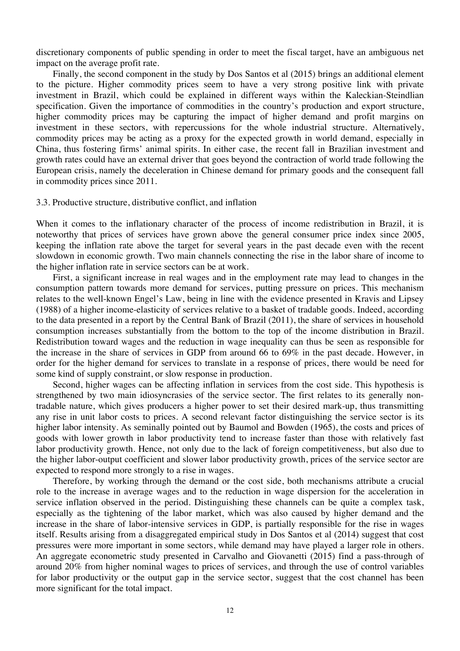discretionary components of public spending in order to meet the fiscal target, have an ambiguous net impact on the average profit rate.

Finally, the second component in the study by Dos Santos et al (2015) brings an additional element to the picture. Higher commodity prices seem to have a very strong positive link with private investment in Brazil, which could be explained in different ways within the Kaleckian-Steindlian specification. Given the importance of commodities in the country's production and export structure, higher commodity prices may be capturing the impact of higher demand and profit margins on investment in these sectors, with repercussions for the whole industrial structure. Alternatively, commodity prices may be acting as a proxy for the expected growth in world demand, especially in China, thus fostering firms' animal spirits. In either case, the recent fall in Brazilian investment and growth rates could have an external driver that goes beyond the contraction of world trade following the European crisis, namely the deceleration in Chinese demand for primary goods and the consequent fall in commodity prices since 2011.

#### 3.3. Productive structure, distributive conflict, and inflation

When it comes to the inflationary character of the process of income redistribution in Brazil, it is noteworthy that prices of services have grown above the general consumer price index since 2005, keeping the inflation rate above the target for several years in the past decade even with the recent slowdown in economic growth. Two main channels connecting the rise in the labor share of income to the higher inflation rate in service sectors can be at work.

First, a significant increase in real wages and in the employment rate may lead to changes in the consumption pattern towards more demand for services, putting pressure on prices. This mechanism relates to the well-known Engel's Law, being in line with the evidence presented in Kravis and Lipsey (1988) of a higher income-elasticity of services relative to a basket of tradable goods. Indeed, according to the data presented in a report by the Central Bank of Brazil (2011), the share of services in household consumption increases substantially from the bottom to the top of the income distribution in Brazil. Redistribution toward wages and the reduction in wage inequality can thus be seen as responsible for the increase in the share of services in GDP from around 66 to 69% in the past decade. However, in order for the higher demand for services to translate in a response of prices, there would be need for some kind of supply constraint, or slow response in production.

Second, higher wages can be affecting inflation in services from the cost side. This hypothesis is strengthened by two main idiosyncrasies of the service sector. The first relates to its generally nontradable nature, which gives producers a higher power to set their desired mark-up, thus transmitting any rise in unit labor costs to prices. A second relevant factor distinguishing the service sector is its higher labor intensity. As seminally pointed out by Baumol and Bowden (1965), the costs and prices of goods with lower growth in labor productivity tend to increase faster than those with relatively fast labor productivity growth. Hence, not only due to the lack of foreign competitiveness, but also due to the higher labor-output coefficient and slower labor productivity growth, prices of the service sector are expected to respond more strongly to a rise in wages.

Therefore, by working through the demand or the cost side, both mechanisms attribute a crucial role to the increase in average wages and to the reduction in wage dispersion for the acceleration in service inflation observed in the period. Distinguishing these channels can be quite a complex task, especially as the tightening of the labor market, which was also caused by higher demand and the increase in the share of labor-intensive services in GDP, is partially responsible for the rise in wages itself. Results arising from a disaggregated empirical study in Dos Santos et al (2014) suggest that cost pressures were more important in some sectors, while demand may have played a larger role in others. An aggregate econometric study presented in Carvalho and Giovanetti (2015) find a pass-through of around 20% from higher nominal wages to prices of services, and through the use of control variables for labor productivity or the output gap in the service sector, suggest that the cost channel has been more significant for the total impact.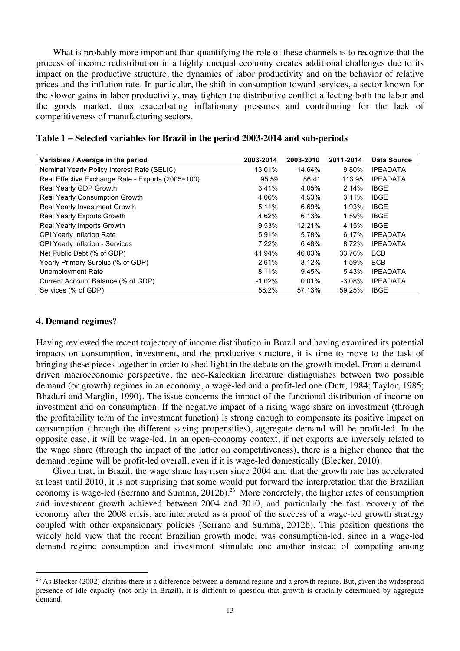What is probably more important than quantifying the role of these channels is to recognize that the process of income redistribution in a highly unequal economy creates additional challenges due to its impact on the productive structure, the dynamics of labor productivity and on the behavior of relative prices and the inflation rate. In particular, the shift in consumption toward services, a sector known for the slower gains in labor productivity, may tighten the distributive conflict affecting both the labor and the goods market, thus exacerbating inflationary pressures and contributing for the lack of competitiveness of manufacturing sectors.

| Variables / Average in the period                 | 2003-2014 | 2003-2010 | 2011-2014 | <b>Data Source</b> |
|---------------------------------------------------|-----------|-----------|-----------|--------------------|
| Nominal Yearly Policy Interest Rate (SELIC)       | 13.01%    | 14.64%    | 9.80%     | <b>IPEADATA</b>    |
| Real Effective Exchange Rate - Exports (2005=100) | 95.59     | 86.41     | 113.95    | <b>IPEADATA</b>    |
| Real Yearly GDP Growth                            | 3.41%     | 4.05%     | 2.14%     | <b>IBGE</b>        |
| <b>Real Yearly Consumption Growth</b>             | 4.06%     | 4.53%     | 3.11%     | <b>IBGE</b>        |
| Real Yearly Investment Growth                     | 5.11%     | 6.69%     | 1.93%     | <b>IBGE</b>        |
| Real Yearly Exports Growth                        | 4.62%     | 6.13%     | 1.59%     | <b>IBGE</b>        |
| Real Yearly Imports Growth                        | 9.53%     | 12.21%    | 4.15%     | <b>IBGE</b>        |
| <b>CPI Yearly Inflation Rate</b>                  | 5.91%     | 5.78%     | 6.17%     | <b>IPEADATA</b>    |
| <b>CPI Yearly Inflation - Services</b>            | 7.22%     | 6.48%     | 8.72%     | <b>IPEADATA</b>    |
| Net Public Debt (% of GDP)                        | 41.94%    | 46.03%    | 33.76%    | <b>BCB</b>         |
| Yearly Primary Surplus (% of GDP)                 | 2.61%     | 3.12%     | 1.59%     | <b>BCB</b>         |
| Unemployment Rate                                 | 8.11%     | 9.45%     | 5.43%     | <b>IPEADATA</b>    |
| Current Account Balance (% of GDP)                | $-1.02\%$ | 0.01%     | $-3.08\%$ | <b>IPEADATA</b>    |
| Services (% of GDP)                               | 58.2%     | 57.13%    | 59.25%    | <b>IBGE</b>        |

### **4. Demand regimes?**

 

Having reviewed the recent trajectory of income distribution in Brazil and having examined its potential impacts on consumption, investment, and the productive structure, it is time to move to the task of bringing these pieces together in order to shed light in the debate on the growth model. From a demanddriven macroeconomic perspective, the neo-Kaleckian literature distinguishes between two possible demand (or growth) regimes in an economy, a wage-led and a profit-led one (Dutt, 1984; Taylor, 1985; Bhaduri and Marglin, 1990). The issue concerns the impact of the functional distribution of income on investment and on consumption. If the negative impact of a rising wage share on investment (through the profitability term of the investment function) is strong enough to compensate its positive impact on consumption (through the different saving propensities), aggregate demand will be profit-led. In the opposite case, it will be wage-led. In an open-economy context, if net exports are inversely related to the wage share (through the impact of the latter on competitiveness), there is a higher chance that the demand regime will be profit-led overall, even if it is wage-led domestically (Blecker, 2010).

Given that, in Brazil, the wage share has risen since 2004 and that the growth rate has accelerated at least until 2010, it is not surprising that some would put forward the interpretation that the Brazilian economy is wage-led (Serrano and Summa, 2012b).<sup>26</sup> More concretely, the higher rates of consumption and investment growth achieved between 2004 and 2010, and particularly the fast recovery of the economy after the 2008 crisis, are interpreted as a proof of the success of a wage-led growth strategy coupled with other expansionary policies (Serrano and Summa, 2012b). This position questions the widely held view that the recent Brazilian growth model was consumption-led, since in a wage-led demand regime consumption and investment stimulate one another instead of competing among

 $26$  As Blecker (2002) clarifies there is a difference between a demand regime and a growth regime. But, given the widespread presence of idle capacity (not only in Brazil), it is difficult to question that growth is crucially determined by aggregate demand.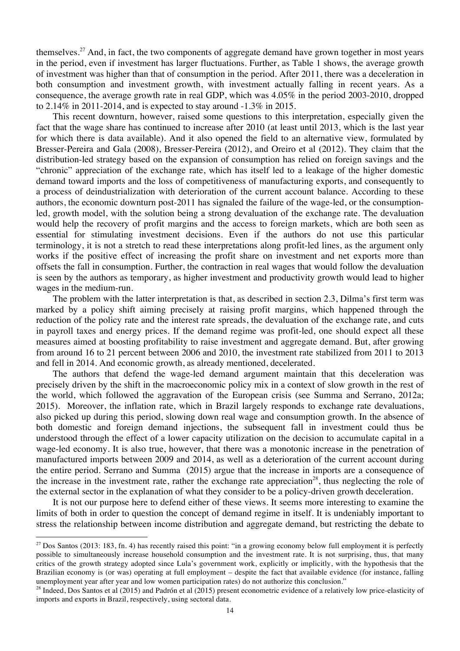themselves.<sup>27</sup> And, in fact, the two components of aggregate demand have grown together in most years in the period, even if investment has larger fluctuations. Further, as Table 1 shows, the average growth of investment was higher than that of consumption in the period. After 2011, there was a deceleration in both consumption and investment growth, with investment actually falling in recent years. As a consequence, the average growth rate in real GDP, which was 4.05% in the period 2003-2010, dropped to  $2.14\%$  in 2011-2014, and is expected to stay around  $-1.3\%$  in 2015.

This recent downturn, however, raised some questions to this interpretation, especially given the fact that the wage share has continued to increase after 2010 (at least until 2013, which is the last year for which there is data available). And it also opened the field to an alternative view, formulated by Bresser-Pereira and Gala (2008), Bresser-Pereira (2012), and Oreiro et al (2012). They claim that the distribution-led strategy based on the expansion of consumption has relied on foreign savings and the "chronic" appreciation of the exchange rate, which has itself led to a leakage of the higher domestic demand toward imports and the loss of competitiveness of manufacturing exports, and consequently to a process of deindustrialization with deterioration of the current account balance. According to these authors, the economic downturn post-2011 has signaled the failure of the wage-led, or the consumptionled, growth model, with the solution being a strong devaluation of the exchange rate. The devaluation would help the recovery of profit margins and the access to foreign markets, which are both seen as essential for stimulating investment decisions. Even if the authors do not use this particular terminology, it is not a stretch to read these interpretations along profit-led lines, as the argument only works if the positive effect of increasing the profit share on investment and net exports more than offsets the fall in consumption. Further, the contraction in real wages that would follow the devaluation is seen by the authors as temporary, as higher investment and productivity growth would lead to higher wages in the medium-run.

The problem with the latter interpretation is that, as described in section 2.3, Dilma's first term was marked by a policy shift aiming precisely at raising profit margins, which happened through the reduction of the policy rate and the interest rate spreads, the devaluation of the exchange rate, and cuts in payroll taxes and energy prices. If the demand regime was profit-led, one should expect all these measures aimed at boosting profitability to raise investment and aggregate demand. But, after growing from around 16 to 21 percent between 2006 and 2010, the investment rate stabilized from 2011 to 2013 and fell in 2014. And economic growth, as already mentioned, decelerated.

The authors that defend the wage-led demand argument maintain that this deceleration was precisely driven by the shift in the macroeconomic policy mix in a context of slow growth in the rest of the world, which followed the aggravation of the European crisis (see Summa and Serrano, 2012a; 2015). Moreover, the inflation rate, which in Brazil largely responds to exchange rate devaluations, also picked up during this period, slowing down real wage and consumption growth. In the absence of both domestic and foreign demand injections, the subsequent fall in investment could thus be understood through the effect of a lower capacity utilization on the decision to accumulate capital in a wage-led economy. It is also true, however, that there was a monotonic increase in the penetration of manufactured imports between 2009 and 2014, as well as a deterioration of the current account during the entire period. Serrano and Summa (2015) argue that the increase in imports are a consequence of the increase in the investment rate, rather the exchange rate appreciation<sup>28</sup>, thus neglecting the role of the external sector in the explanation of what they consider to be a policy-driven growth deceleration.

It is not our purpose here to defend either of these views. It seems more interesting to examine the limits of both in order to question the concept of demand regime in itself. It is undeniably important to stress the relationship between income distribution and aggregate demand, but restricting the debate to

 $27$  Dos Santos (2013: 183, fn. 4) has recently raised this point: "in a growing economy below full employment it is perfectly possible to simultaneously increase household consumption and the investment rate. It is not surprising, thus, that many critics of the growth strategy adopted since Lula's government work, explicitly or implicitly, with the hypothesis that the Brazilian economy is (or was) operating at full employment – despite the fact that available evidence (for instance, falling unemployment year after year and low women participation rates) do not authorize this conclusion."

<sup>&</sup>lt;sup>28</sup> Indeed, Dos Santos et al (2015) and Padrón et al (2015) present econometric evidence of a relatively low price-elasticity of imports and exports in Brazil, respectively, using sectoral data.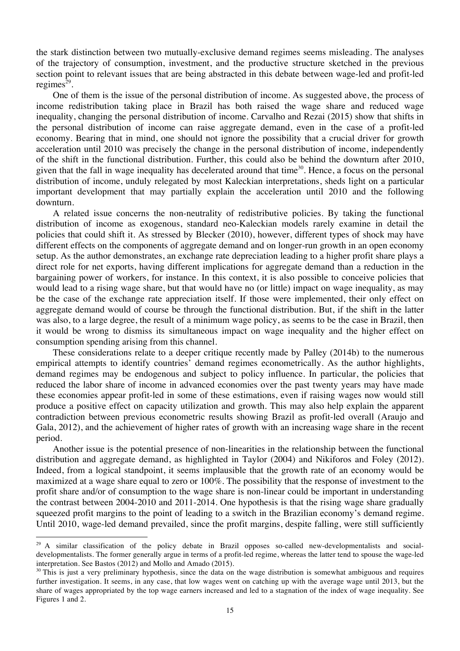the stark distinction between two mutually-exclusive demand regimes seems misleading. The analyses of the trajectory of consumption, investment, and the productive structure sketched in the previous section point to relevant issues that are being abstracted in this debate between wage-led and profit-led regimes $^{29}$ .

One of them is the issue of the personal distribution of income. As suggested above, the process of income redistribution taking place in Brazil has both raised the wage share and reduced wage inequality, changing the personal distribution of income. Carvalho and Rezai (2015) show that shifts in the personal distribution of income can raise aggregate demand, even in the case of a profit-led economy. Bearing that in mind, one should not ignore the possibility that a crucial driver for growth acceleration until 2010 was precisely the change in the personal distribution of income, independently of the shift in the functional distribution. Further, this could also be behind the downturn after 2010, given that the fall in wage inequality has decelerated around that time<sup>30</sup>. Hence, a focus on the personal distribution of income, unduly relegated by most Kaleckian interpretations, sheds light on a particular important development that may partially explain the acceleration until 2010 and the following downturn.

A related issue concerns the non-neutrality of redistributive policies. By taking the functional distribution of income as exogenous, standard neo-Kaleckian models rarely examine in detail the policies that could shift it. As stressed by Blecker (2010), however, different types of shock may have different effects on the components of aggregate demand and on longer-run growth in an open economy setup. As the author demonstrates, an exchange rate depreciation leading to a higher profit share plays a direct role for net exports, having different implications for aggregate demand than a reduction in the bargaining power of workers, for instance. In this context, it is also possible to conceive policies that would lead to a rising wage share, but that would have no (or little) impact on wage inequality, as may be the case of the exchange rate appreciation itself. If those were implemented, their only effect on aggregate demand would of course be through the functional distribution. But, if the shift in the latter was also, to a large degree, the result of a minimum wage policy, as seems to be the case in Brazil, then it would be wrong to dismiss its simultaneous impact on wage inequality and the higher effect on consumption spending arising from this channel.

These considerations relate to a deeper critique recently made by Palley (2014b) to the numerous empirical attempts to identify countries' demand regimes econometrically. As the author highlights, demand regimes may be endogenous and subject to policy influence. In particular, the policies that reduced the labor share of income in advanced economies over the past twenty years may have made these economies appear profit-led in some of these estimations, even if raising wages now would still produce a positive effect on capacity utilization and growth. This may also help explain the apparent contradiction between previous econometric results showing Brazil as profit-led overall (Araujo and Gala, 2012), and the achievement of higher rates of growth with an increasing wage share in the recent period.

Another issue is the potential presence of non-linearities in the relationship between the functional distribution and aggregate demand, as highlighted in Taylor (2004) and Nikiforos and Foley (2012). Indeed, from a logical standpoint, it seems implausible that the growth rate of an economy would be maximized at a wage share equal to zero or 100%. The possibility that the response of investment to the profit share and/or of consumption to the wage share is non-linear could be important in understanding the contrast between 2004-2010 and 2011-2014. One hypothesis is that the rising wage share gradually squeezed profit margins to the point of leading to a switch in the Brazilian economy's demand regime. Until 2010, wage-led demand prevailed, since the profit margins, despite falling, were still sufficiently

<sup>&</sup>lt;sup>29</sup> A similar classification of the policy debate in Brazil opposes so-called new-developmentalists and socialdevelopmentalists. The former generally argue in terms of a profit-led regime, whereas the latter tend to spouse the wage-led interpretation. See Bastos (2012) and Mollo and Amado (2015).

 $30$  This is just a very preliminary hypothesis, since the data on the wage distribution is somewhat ambiguous and requires further investigation. It seems, in any case, that low wages went on catching up with the average wage until 2013, but the share of wages appropriated by the top wage earners increased and led to a stagnation of the index of wage inequality. See Figures 1 and 2.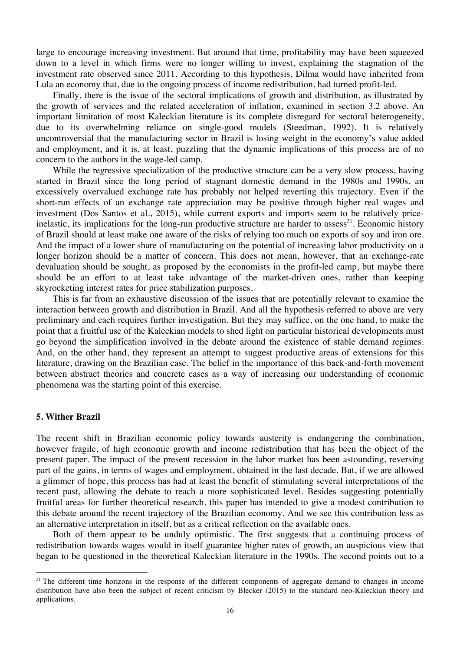large to encourage increasing investment. But around that time, profitability may have been squeezed down to a level in which firms were no longer willing to invest, explaining the stagnation of the investment rate observed since 2011. According to this hypothesis, Dilma would have inherited from Lula an economy that, due to the ongoing process of income redistribution, had turned profit-led.

Finally, there is the issue of the sectoral implications of growth and distribution, as illustrated by the growth of services and the related acceleration of inflation, examined in section 3.2 above. An important limitation of most Kaleckian literature is its complete disregard for sectoral heterogeneity, due to its overwhelming reliance on single-good models (Steedman, 1992). It is relatively uncontroversial that the manufacturing sector in Brazil is losing weight in the economy's value added and employment, and it is, at least, puzzling that the dynamic implications of this process are of no concern to the authors in the wage-led camp.

While the regressive specialization of the productive structure can be a very slow process, having started in Brazil since the long period of stagnant domestic demand in the 1980s and 1990s, an excessively overvalued exchange rate has probably not helped reverting this trajectory. Even if the short-run effects of an exchange rate appreciation may be positive through higher real wages and investment (Dos Santos et al., 2015), while current exports and imports seem to be relatively priceinelastic, its implications for the long-run productive structure are harder to assess $^{31}$ . Economic history of Brazil should at least make one aware of the risks of relying too much on exports of soy and iron ore. And the impact of a lower share of manufacturing on the potential of increasing labor productivity on a longer horizon should be a matter of concern. This does not mean, however, that an exchange-rate devaluation should be sought, as proposed by the economists in the profit-led camp, but maybe there should be an effort to at least take advantage of the market-driven ones, rather than keeping skyrocketing interest rates for price stabilization purposes.

This is far from an exhaustive discussion of the issues that are potentially relevant to examine the interaction between growth and distribution in Brazil. And all the hypothesis referred to above are very preliminary and each requires further investigation. But they may suffice, on the one hand, to make the point that a fruitful use of the Kaleckian models to shed light on particular historical developments must go beyond the simplification involved in the debate around the existence of stable demand regimes. And, on the other hand, they represent an attempt to suggest productive areas of extensions for this literature, drawing on the Brazilian case. The belief in the importance of this back-and-forth movement between abstract theories and concrete cases as a way of increasing our understanding of economic phenomena was the starting point of this exercise.

### **5. Wither Brazil**

 

The recent shift in Brazilian economic policy towards austerity is endangering the combination, however fragile, of high economic growth and income redistribution that has been the object of the present paper. The impact of the present recession in the labor market has been astounding, reversing part of the gains, in terms of wages and employment, obtained in the last decade. But, if we are allowed a glimmer of hope, this process has had at least the benefit of stimulating several interpretations of the recent past, allowing the debate to reach a more sophisticated level. Besides suggesting potentially fruitful areas for further theoretical research, this paper has intended to give a modest contribution to this debate around the recent trajectory of the Brazilian economy. And we see this contribution less as an alternative interpretation in itself, but as a critical reflection on the available ones.

Both of them appear to be unduly optimistic. The first suggests that a continuing process of redistribution towards wages would in itself guarantee higher rates of growth, an auspicious view that began to be questioned in the theoretical Kaleckian literature in the 1990s. The second points out to a

 $31$  The different time horizons in the response of the different components of aggregate demand to changes in income distribution have also been the subject of recent criticism by Blecker (2015) to the standard neo-Kaleckian theory and applications.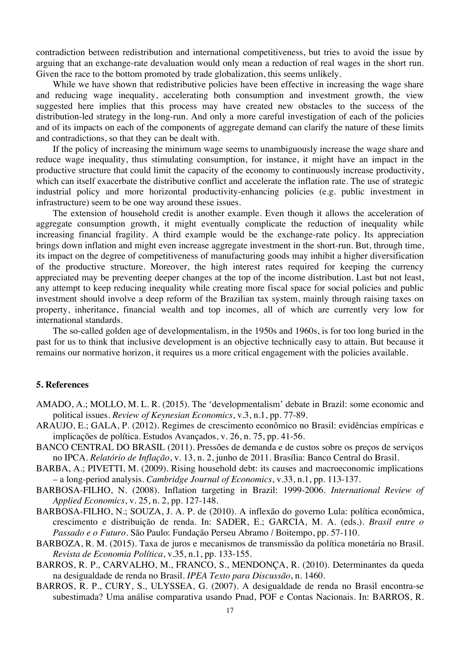contradiction between redistribution and international competitiveness, but tries to avoid the issue by arguing that an exchange-rate devaluation would only mean a reduction of real wages in the short run. Given the race to the bottom promoted by trade globalization, this seems unlikely.

While we have shown that redistributive policies have been effective in increasing the wage share and reducing wage inequality, accelerating both consumption and investment growth, the view suggested here implies that this process may have created new obstacles to the success of the distribution-led strategy in the long-run. And only a more careful investigation of each of the policies and of its impacts on each of the components of aggregate demand can clarify the nature of these limits and contradictions, so that they can be dealt with.

If the policy of increasing the minimum wage seems to unambiguously increase the wage share and reduce wage inequality, thus stimulating consumption, for instance, it might have an impact in the productive structure that could limit the capacity of the economy to continuously increase productivity, which can itself exacerbate the distributive conflict and accelerate the inflation rate. The use of strategic industrial policy and more horizontal productivity-enhancing policies (e.g. public investment in infrastructure) seem to be one way around these issues.

The extension of household credit is another example. Even though it allows the acceleration of aggregate consumption growth, it might eventually complicate the reduction of inequality while increasing financial fragility. A third example would be the exchange-rate policy. Its appreciation brings down inflation and might even increase aggregate investment in the short-run. But, through time, its impact on the degree of competitiveness of manufacturing goods may inhibit a higher diversification of the productive structure. Moreover, the high interest rates required for keeping the currency appreciated may be preventing deeper changes at the top of the income distribution. Last but not least, any attempt to keep reducing inequality while creating more fiscal space for social policies and public investment should involve a deep reform of the Brazilian tax system, mainly through raising taxes on property, inheritance, financial wealth and top incomes, all of which are currently very low for international standards.

The so-called golden age of developmentalism, in the 1950s and 1960s, is for too long buried in the past for us to think that inclusive development is an objective technically easy to attain. But because it remains our normative horizon, it requires us a more critical engagement with the policies available.

### **5. References**

- AMADO, A.; MOLLO, M. L. R. (2015). The 'developmentalism' debate in Brazil: some economic and political issues. *Review of Keynesian Economics*, v.3, n.1, pp. 77-89.
- ARAUJO, E.; GALA, P. (2012). Regimes de crescimento econômico no Brasil: evidências empíricas e implicações de política. Estudos Avançados, v. 26, n. 75, pp. 41-56.
- BANCO CENTRAL DO BRASIL (2011). Pressões de demanda e de custos sobre os preços de serviços no IPCA. *Relatório de Inflação*, v. 13, n. 2, junho de 2011. Brasília: Banco Central do Brasil.
- BARBA, A.; PIVETTI, M. (2009). Rising household debt: its causes and macroeconomic implications – a long-period analysis. *Cambridge Journal of Economics*, v.33, n.1, pp. 113-137.
- BARBOSA-FILHO, N. (2008). Inflation targeting in Brazil: 1999-2006. *International Review of Applied Economics*, v. 25, n. 2, pp. 127-148.
- BARBOSA-FILHO, N.; SOUZA, J. A. P. de (2010). A inflexão do governo Lula: política econômica, crescimento e distribuição de renda. In: SADER, E.; GARCIA, M. A. (eds.). *Brasil entre o Passado e o Futuro*. São Paulo: Fundação Perseu Abramo / Boitempo, pp. 57-110.
- BARBOZA, R. M. (2015). Taxa de juros e mecanismos de transmissão da política monetária no Brasil. *Revista de Economia Política*, v.35, n.1, pp. 133-155.
- BARROS, R. P., CARVALHO, M., FRANCO, S., MENDONÇA, R. (2010). Determinantes da queda na desigualdade de renda no Brasil. *IPEA Texto para Discussão*, n. 1460.
- BARROS, R. P., CURY, S., ULYSSEA, G. (2007). A desigualdade de renda no Brasil encontra-se subestimada? Uma análise comparativa usando Pnad, POF e Contas Nacionais. In: BARROS, R.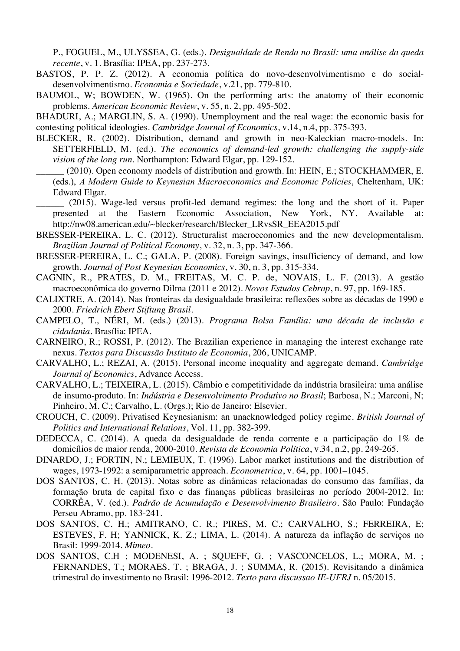P., FOGUEL, M., ULYSSEA, G. (eds.). *Desigualdade de Renda no Brasil: uma análise da queda recente*, v. 1*.* Brasília: IPEA, pp. 237-273.

- BASTOS, P. P. Z. (2012). A economia política do novo-desenvolvimentismo e do socialdesenvolvimentismo. *Economia e Sociedade*, v.21, pp. 779-810.
- BAUMOL, W; BOWDEN, W. (1965). On the performing arts: the anatomy of their economic problems. *American Economic Review*, v. 55, n. 2, pp. 495-502.

BHADURI, A.; MARGLIN, S. A. (1990). Unemployment and the real wage: the economic basis for contesting political ideologies. *Cambridge Journal of Economics*, v.14, n.4, pp. 375-393.

- BLECKER, R. (2002). Distribution, demand and growth in neo-Kaleckian macro-models. In: SETTERFIELD, M. (ed.). *The economics of demand-led growth: challenging the supply-side vision of the long run*. Northampton: Edward Elgar, pp. 129-152.
	- (2010). Open economy models of distribution and growth. In: HEIN, E.; STOCKHAMMER, E. (eds.), *A Modern Guide to Keynesian Macroeconomics and Economic Policies*, Cheltenham, UK: Edward Elgar.
- \_\_\_\_\_\_ (2015). Wage-led versus profit-led demand regimes: the long and the short of it. Paper presented at the Eastern Economic Association, New York, NY. Available at: http://nw08.american.edu/~blecker/research/Blecker\_LRvsSR\_EEA2015.pdf
- BRESSER-PEREIRA, L. C. (2012). Structuralist macroeconomics and the new developmentalism. *Brazilian Journal of Political Economy*, v. 32, n. 3, pp. 347-366.
- BRESSER-PEREIRA, L. C.; GALA, P. (2008). Foreign savings, insufficiency of demand, and low growth. *Journal of Post Keynesian Economics*, v. 30, n. 3, pp. 315-334.
- CAGNIN, R., PRATES, D. M., FREITAS, M. C. P. de, NOVAIS, L. F. (2013). A gestão macroeconômica do governo Dilma (2011 e 2012). *Novos Estudos Cebrap*, n. 97, pp. 169-185.
- CALIXTRE, A. (2014). Nas fronteiras da desigualdade brasileira: reflexões sobre as décadas de 1990 e 2000. *Friedrich Ebert Stiftung Brasil*.
- CAMPELO, T., NÉRI, M. (eds.) (2013). *Programa Bolsa Família: uma década de inclusão e cidadania*. Brasília: IPEA.
- CARNEIRO, R.; ROSSI, P. (2012). The Brazilian experience in managing the interest exchange rate nexus. *Textos para Discussão Instituto de Economia*, 206, UNICAMP.
- CARVALHO, L.; REZAI, A. (2015). Personal income inequality and aggregate demand. *Cambridge Journal of Economics*, Advance Access.
- CARVALHO, L.; TEIXEIRA, L. (2015). Câmbio e competitividade da indústria brasileira: uma análise de insumo-produto. In: *Indústria e Desenvolvimento Produtivo no Brasil*; Barbosa, N.; Marconi, N; Pinheiro, M. C.; Carvalho, L. (Orgs.); Rio de Janeiro: Elsevier.
- CROUCH, C. (2009). Privatised Keynesianism: an unacknowledged policy regime. *British Journal of Politics and International Relations*, Vol. 11, pp. 382-399.
- DEDECCA, C. (2014). A queda da desigualdade de renda corrente e a participação do 1% de domicílios de maior renda, 2000-2010. *Revista de Economia Política*, v.34, n.2, pp. 249-265.
- DINARDO, J.; FORTIN, N.; LEMIEUX, T. (1996). Labor market institutions and the distribution of wages, 1973-1992: a semiparametric approach. *Econometrica*, v. 64, pp. 1001–1045.
- DOS SANTOS, C. H. (2013). Notas sobre as dinâmicas relacionadas do consumo das famílias, da formação bruta de capital fixo e das finanças públicas brasileiras no período 2004-2012. In: CORRÊA, V. (ed.). *Padrão de Acumulação e Desenvolvimento Brasileiro*. São Paulo: Fundação Perseu Abramo, pp. 183-241.
- DOS SANTOS, C. H.; AMITRANO, C. R.; PIRES, M. C.; CARVALHO, S.; FERREIRA, E; ESTEVES, F. H; YANNICK, K. Z.; LIMA, L. (2014). A natureza da inflação de serviços no Brasil: 1999-2014. *Mimeo*.
- DOS SANTOS, C.H ; MODENESI, A. ; SQUEFF, G. ; VASCONCELOS, L.; MORA, M. ; FERNANDES, T.; MORAES, T. ; BRAGA, J. ; SUMMA, R. (2015). Revisitando a dinâmica trimestral do investimento no Brasil: 1996-2012. *Texto para discussao IE-UFRJ* n. 05/2015.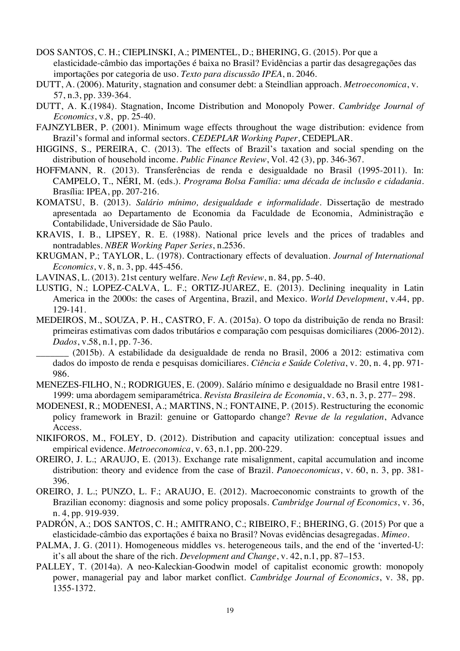- DOS SANTOS, C. H.; CIEPLINSKI, A.; PIMENTEL, D.; BHERING, G. (2015). Por que a elasticidade-câmbio das importações é baixa no Brasil? Evidências a partir das desagregações das importações por categoria de uso. *Texto para discussão IPEA*, n. 2046.
- DUTT, A. (2006). Maturity, stagnation and consumer debt: a Steindlian approach. *Metroeconomica*, v. 57, n.3, pp. 339-364.
- DUTT, A. K.(1984). Stagnation, Income Distribution and Monopoly Power. *Cambridge Journal of Economics*, v.8, pp. 25-40.
- FAJNZYLBER, P. (2001). Minimum wage effects throughout the wage distribution: evidence from Brazil's formal and informal sectors. *CEDEPLAR Working Paper*, CEDEPLAR.
- HIGGINS, S., PEREIRA, C. (2013). The effects of Brazil's taxation and social spending on the distribution of household income. *Public Finance Review*, Vol. 42 (3), pp. 346-367.
- HOFFMANN, R. (2013). Transferências de renda e desigualdade no Brasil (1995-2011). In: CAMPELO, T., NÉRI, M. (eds.). *Programa Bolsa Família: uma década de inclusão e cidadania*. Brasília: IPEA, pp. 207-216.
- KOMATSU, B. (2013). *Salário mínimo, desigualdade e informalidade*. Dissertação de mestrado apresentada ao Departamento de Economia da Faculdade de Economia, Administração e Contabilidade, Universidade de São Paulo.
- KRAVIS, I. B., LIPSEY, R. E. (1988). National price levels and the prices of tradables and nontradables. *NBER Working Paper Series*, n.2536.
- KRUGMAN, P.; TAYLOR, L. (1978). Contractionary effects of devaluation. *Journal of International Economics*, v. 8, n. 3, pp. 445-456.
- LAVINAS, L. (2013). 21st century welfare. *New Left Review*, n. 84, pp. 5-40.
- LUSTIG, N.; LOPEZ-CALVA, L. F.; ORTIZ-JUAREZ, E. (2013). Declining inequality in Latin America in the 2000s: the cases of Argentina, Brazil, and Mexico. *World Development*, v.44, pp. 129-141.
- MEDEIROS, M., SOUZA, P. H., CASTRO, F. A. (2015a). O topo da distribuição de renda no Brasil: primeiras estimativas com dados tributários e comparação com pesquisas domiciliares (2006-2012). *Dados*, v.58, n.1, pp. 7-36.
	- \_\_\_\_\_\_\_ (2015b). A estabilidade da desigualdade de renda no Brasil, 2006 a 2012: estimativa com dados do imposto de renda e pesquisas domiciliares. *Ciência e Saúde Coletiva*, v. 20, n. 4, pp. 971- 986.
- MENEZES-FILHO, N.; RODRIGUES, E. (2009). Salário mínimo e desigualdade no Brasil entre 1981- 1999: uma abordagem semiparamétrica. *Revista Brasileira de Economia*, v. 63, n. 3, p. 277– 298.
- MODENESI, R.; MODENESI, A.; MARTINS, N.; FONTAINE, P. (2015). Restructuring the economic policy framework in Brazil: genuine or Gattopardo change? *Revue de la regulation*, Advance Access.
- NIKIFOROS, M., FOLEY, D. (2012). Distribution and capacity utilization: conceptual issues and empirical evidence. *Metroeconomica*, v. 63, n.1, pp. 200-229.
- OREIRO, J. L.; ARAUJO, E. (2013). Exchange rate misalignment, capital accumulation and income distribution: theory and evidence from the case of Brazil. *Panoeconomicus*, v. 60, n. 3, pp. 381- 396.
- OREIRO, J. L.; PUNZO, L. F.; ARAUJO, E. (2012). Macroeconomic constraints to growth of the Brazilian economy: diagnosis and some policy proposals. *Cambridge Journal of Economics*, v. 36, n. 4, pp. 919-939.
- PADRÓN, A.; DOS SANTOS, C. H.; AMITRANO, C.; RIBEIRO, F.; BHERING, G. (2015) Por que a elasticidade-câmbio das exportações é baixa no Brasil? Novas evidências desagregadas. *Mimeo*.
- PALMA, J. G. (2011). Homogeneous middles vs. heterogeneous tails, and the end of the 'inverted-U: it's all about the share of the rich. *Development and Change*, v. 42, n.1, pp. 87–153.
- PALLEY, T. (2014a). A neo-Kaleckian-Goodwin model of capitalist economic growth: monopoly power, managerial pay and labor market conflict. *Cambridge Journal of Economics*, v. 38, pp. 1355-1372.